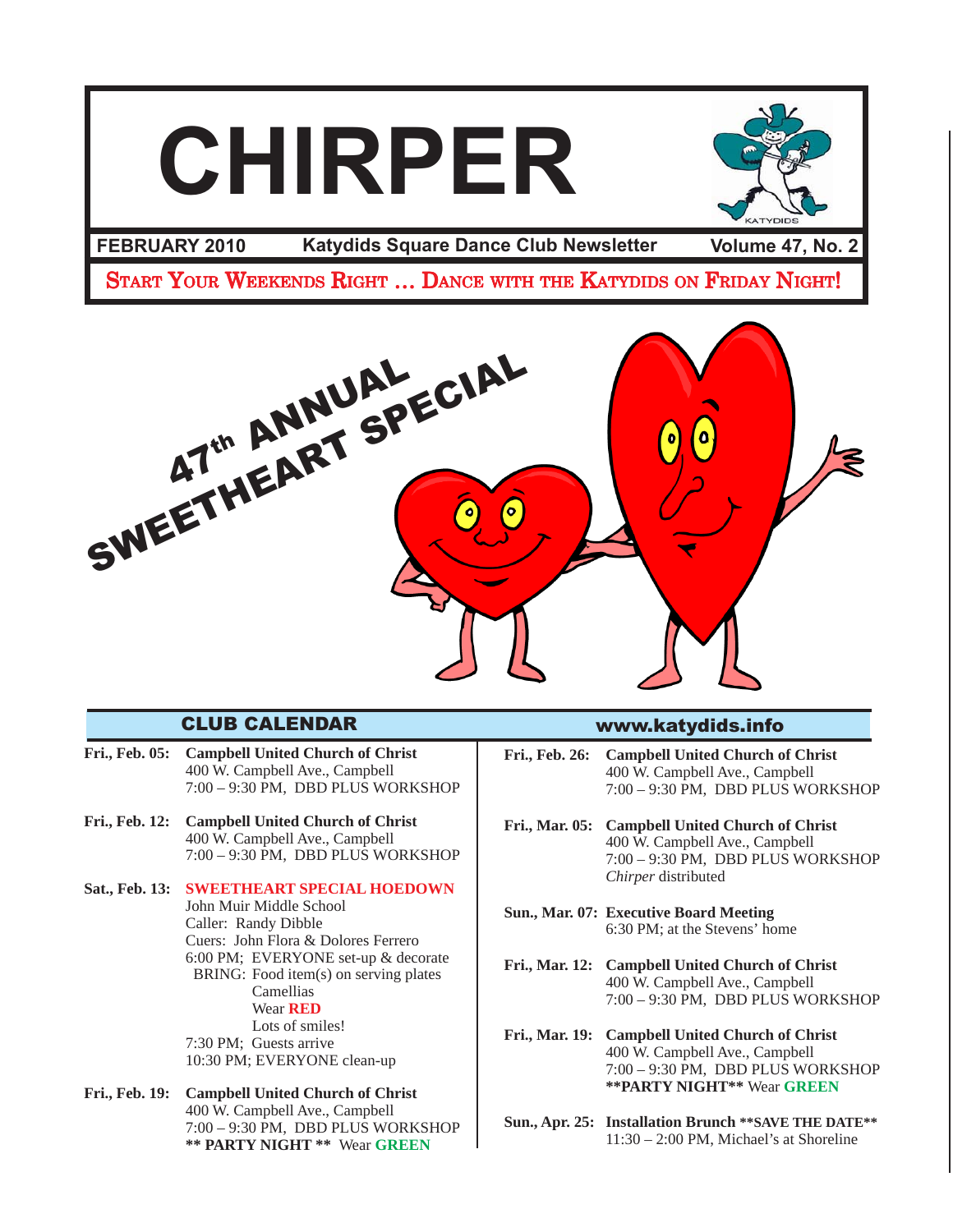# **CHIRPER** FEBRUARY 2010 Katydids Square Dance Club Newsletter Volume 47, No. 2 START YOUR WEEKENDS RIGHT ... DANCE WITH THE KATYDIDS ON FRIDAY NIGHT! SWEETHEART SPECIAL

# CLUB CALENDAR

- **Fri., Feb. 05: Campbell United Church of Christ** 400 W. Campbell Ave., Campbell 7:00 – 9:30 PM, DBD PLUS WORKSHOP
- **Fri., Feb. 12: Campbell United Church of Christ** 400 W. Campbell Ave., Campbell 7:00 – 9:30 PM, DBD PLUS WORKSHOP
- **Sat., Feb. 13: SWEETHEART SPECIAL HOEDOWN** John Muir Middle School Caller: Randy Dibble Cuers: John Flora & Dolores Ferrero 6:00 PM; EVERYONE set-up & decorate BRING: Food item(s) on serving plates Camellias Wear **RED** Lots of smiles! 7:30 PM; Guests arrive 10:30 PM; EVERYONE clean-up
- **Fri., Feb. 19: Campbell United Church of Christ** 400 W. Campbell Ave., Campbell 7:00 – 9:30 PM, DBD PLUS WORKSHOP **\*\* PARTY NIGHT \*\*** Wear **GREEN**

### www.katydids.info

- **Fri., Feb. 26: Campbell United Church of Christ** 400 W. Campbell Ave., Campbell 7:00 – 9:30 PM, DBD PLUS WORKSHOP
- **Fri., Mar. 05: Campbell United Church of Christ** 400 W. Campbell Ave., Campbell 7:00 – 9:30 PM, DBD PLUS WORKSHOP *Chirper* distributed
- **Sun., Mar. 07: Executive Board Meeting** 6:30 PM; at the Stevens' home
- **Fri., Mar. 12: Campbell United Church of Christ** 400 W. Campbell Ave., Campbell 7:00 – 9:30 PM, DBD PLUS WORKSHOP
- **Fri., Mar. 19: Campbell United Church of Christ** 400 W. Campbell Ave., Campbell 7:00 – 9:30 PM, DBD PLUS WORKSHOP **\*\*PARTY NIGHT\*\*** Wear **GREEN**
- **Sun., Apr. 25: Installation Brunch \*\*SAVE THE DATE\*\*** 11:30 – 2:00 PM, Michael's at Shoreline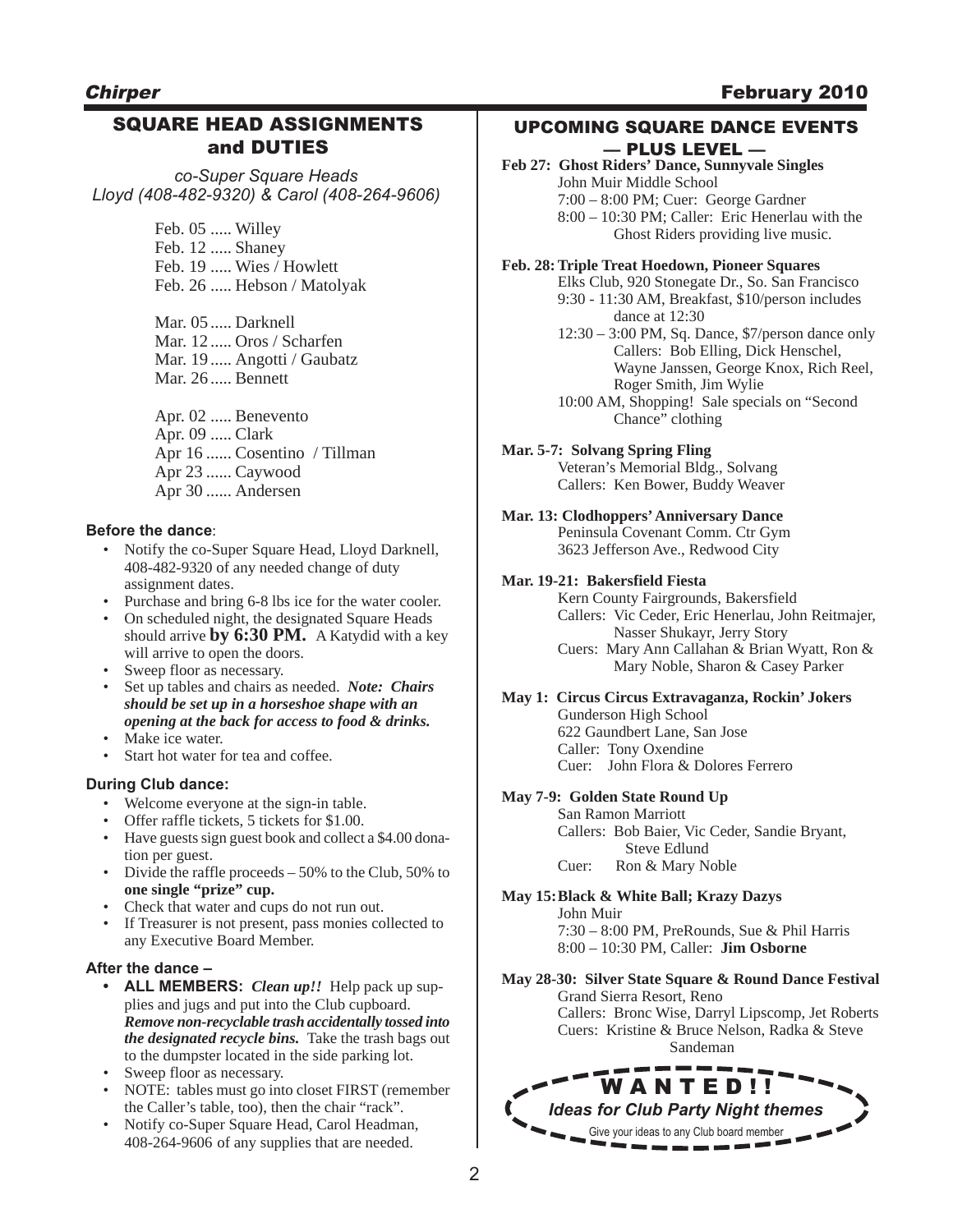# SQUARE HEAD ASSIGNMENTS and DUTIES

*co-Super Square Heads Lloyd (408-482-9320) & Carol (408-264-9606)*

> Feb. 05 ..... Willey Feb. 12 ..... Shaney Feb. 19 ..... Wies / Howlett Feb. 26 ..... Hebson / Matolyak

Mar. 05 ..... Darknell Mar. 12 ..... Oros / Scharfen Mar. 19 ..... Angotti / Gaubatz Mar. 26 ..... Bennett

Apr. 02 ..... Benevento Apr. 09 ..... Clark Apr 16 ...... Cosentino / Tillman Apr 23 ...... Caywood Apr 30 ...... Andersen

### **Before the dance**:

- Notify the co-Super Square Head, Lloyd Darknell, 408-482-9320 of any needed change of duty assignment dates.
- Purchase and bring 6-8 lbs ice for the water cooler.
- On scheduled night, the designated Square Heads should arrive **by 6:30 PM.** A Katydid with a key will arrive to open the doors.
- Sweep floor as necessary.
- Set up tables and chairs as needed. *Note: Chairs should be set up in a horseshoe shape with an opening at the back for access to food & drinks.*
- Make ice water.
- Start hot water for tea and coffee.

### **During Club dance:**

- Welcome everyone at the sign-in table.
- Offer raffle tickets, 5 tickets for \$1.00.
- Have guests sign guest book and collect a \$4.00 donation per guest.
- Divide the raffle proceeds 50% to the Club, 50% to **one single "prize" cup.**
- Check that water and cups do not run out.
- If Treasurer is not present, pass monies collected to any Executive Board Member.

### **After the dance –**

- **• ALL MEMBERS:** *Clean up!!* Help pack up supplies and jugs and put into the Club cupboard. *Remove non-recyclable trash accidentally tossed into the designated recycle bins.*Take the trash bags out to the dumpster located in the side parking lot.
- Sweep floor as necessary.
- NOTE: tables must go into closet FIRST (remember the Caller's table, too), then the chair "rack".
- Notify co-Super Square Head, Carol Headman, 408-264-9606 of any supplies that are needed.

### UPCOMING SQUARE DANCE EVENTS –– PLUS LEVEL ––

**Feb 27: Ghost Riders' Dance, Sunnyvale Singles** John Muir Middle School 7:00 – 8:00 PM; Cuer: George Gardner 8:00 – 10:30 PM; Caller: Eric Henerlau with the Ghost Riders providing live music.

#### **Feb. 28: Triple Treat Hoedown, Pioneer Squares**

Elks Club, 920 Stonegate Dr., So. San Francisco 9:30 - 11:30 AM, Breakfast, \$10/person includes dance at 12:30

- 12:30 3:00 PM, Sq. Dance, \$7/person dance only Callers: Bob Elling, Dick Henschel, Wayne Janssen, George Knox, Rich Reel, Roger Smith, Jim Wylie
- 10:00 AM, Shopping! Sale specials on "Second Chance" clothing

### **Mar. 5-7: Solvang Spring Fling**

Veteran's Memorial Bldg., Solvang Callers: Ken Bower, Buddy Weaver

**Mar. 13: Clodhoppers' Anniversary Dance** Peninsula Covenant Comm. Ctr Gym 3623 Jefferson Ave., Redwood City

### **Mar. 19-21: Bakersfield Fiesta**

Kern County Fairgrounds, Bakersfield Callers: Vic Ceder, Eric Henerlau, John Reitmajer, Nasser Shukayr, Jerry Story Cuers: Mary Ann Callahan & Brian Wyatt, Ron & Mary Noble, Sharon & Casey Parker

#### **May 1: Circus Circus Extravaganza, Rockin' Jokers** Gunderson High School 622 Gaundbert Lane, San Jose

Caller: Tony Oxendine Cuer: John Flora & Dolores Ferrero

### **May 7-9: Golden State Round Up**

San Ramon Marriott Callers: Bob Baier, Vic Ceder, Sandie Bryant, Steve Edlund Cuer: Ron & Mary Noble

**May 15:Black & White Ball; Krazy Dazys** John Muir 7:30 – 8:00 PM, PreRounds, Sue & Phil Harris 8:00 – 10:30 PM, Caller: **Jim Osborne**

**May 28-30: Silver State Square & Round Dance Festival** Grand Sierra Resort, Reno Callers: Bronc Wise, Darryl Lipscomp, Jet Roberts Cuers: Kristine & Bruce Nelson, Radka & Steve Sandeman

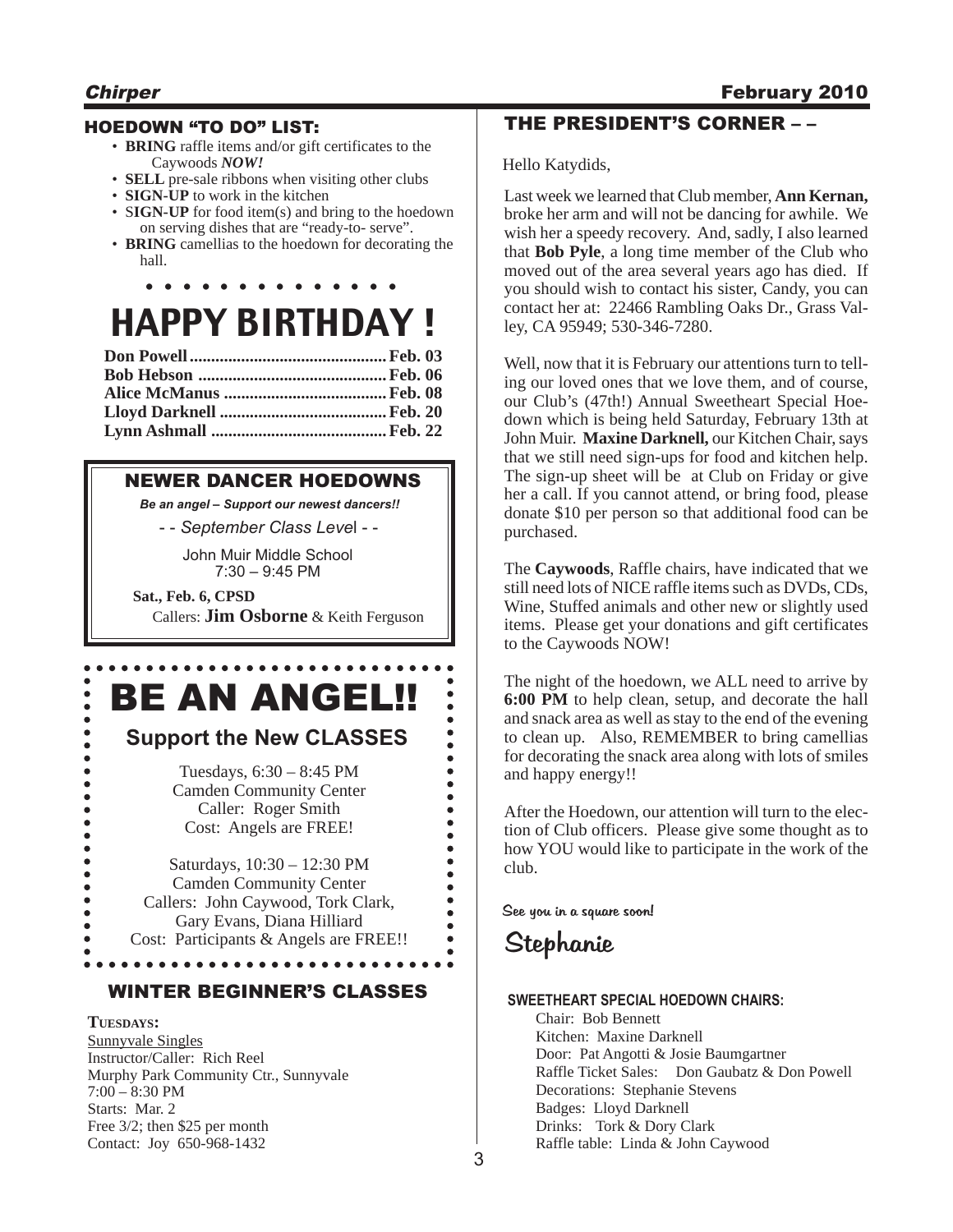# **Chirper** Chirper **February 2010**

### HOEDOWN "TO DO" LIST:

- **BRING** raffle items and/or gift certificates to the Caywoods *NOW!*
- **SELL** pre-sale ribbons when visiting other clubs
- **SIGN-UP** to work in the kitchen
- **SIGN-UP** for food item(s) and bring to the hoedown on serving dishes that are "ready-to- serve".
- **BRING** camellias to the hoedown for decorating the hall.

**. . . . . . . . . . . . . .**

# HAPPY BIRTHDAY !

### NEWER DANCER HOEDOWNS

*Be an angel – Support our newest dancers!!*

- - *September Class Leve*l - -

John Muir Middle School 7:30 – 9:45 PM

**Sat., Feb. 6, CPSD**

 $\bullet$ 

 $\bullet$  $\bullet$  $\bullet$  $\bullet$  $\bullet$  $\bullet$  $\bullet$  $\bullet$  $\bullet$  $\bullet$  $\bullet$ 

Callers: **Jim Osborne** & Keith Ferguson

# BE AN ANGEL!!

# **Support the New CLASSES**

Tuesdays, 6:30 – 8:45 PM Camden Community Center Caller: Roger Smith Cost: Angels are FREE!

Saturdays, 10:30 – 12:30 PM Camden Community Center Callers: John Caywood, Tork Clark, Gary Evans, Diana Hilliard Cost: Participants & Angels are FREE!!

### WINTER BEGINNER'S CLASSES

. . . . . . .

**TUESDAYS:** Sunnyvale Singles Instructor/Caller: Rich Reel Murphy Park Community Ctr., Sunnyvale 7:00 – 8:30 PM Starts: Mar. 2 Free 3/2; then \$25 per month Contact: Joy 650-968-1432

## THE PRESIDENT'S CORNER – –

Hello Katydids,

Last week we learned that Club member, **Ann Kernan,** broke her arm and will not be dancing for awhile. We wish her a speedy recovery. And, sadly, I also learned that **Bob Pyle**, a long time member of the Club who moved out of the area several years ago has died. If you should wish to contact his sister, Candy, you can contact her at: 22466 Rambling Oaks Dr., Grass Valley, CA 95949; 530-346-7280.

Well, now that it is February our attentions turn to telling our loved ones that we love them, and of course, our Club's (47th!) Annual Sweetheart Special Hoedown which is being held Saturday, February 13th at John Muir. **Maxine Darknell,** our Kitchen Chair, says that we still need sign-ups for food and kitchen help. The sign-up sheet will be at Club on Friday or give her a call. If you cannot attend, or bring food, please donate \$10 per person so that additional food can be purchased.

The **Caywoods**, Raffle chairs, have indicated that we still need lots of NICE raffle items such as DVDs, CDs, Wine, Stuffed animals and other new or slightly used items. Please get your donations and gift certificates to the Caywoods NOW!

The night of the hoedown, we ALL need to arrive by **6:00 PM** to help clean, setup, and decorate the hall and snack area as well as stay to the end of the evening to clean up. Also, REMEMBER to bring camellias for decorating the snack area along with lots of smiles and happy energy!!

After the Hoedown, our attention will turn to the election of Club officers. Please give some thought as to how YOU would like to participate in the work of the club.

See you in a square soon!

# Stephanie

### **SWEETHEART SPECIAL HOEDOWN CHAIRS:**

Chair: Bob Bennett Kitchen: Maxine Darknell Door: Pat Angotti & Josie Baumgartner Raffle Ticket Sales: Don Gaubatz & Don Powell Decorations: Stephanie Stevens Badges: Lloyd Darknell Drinks: Tork & Dory Clark Raffle table: Linda & John Caywood